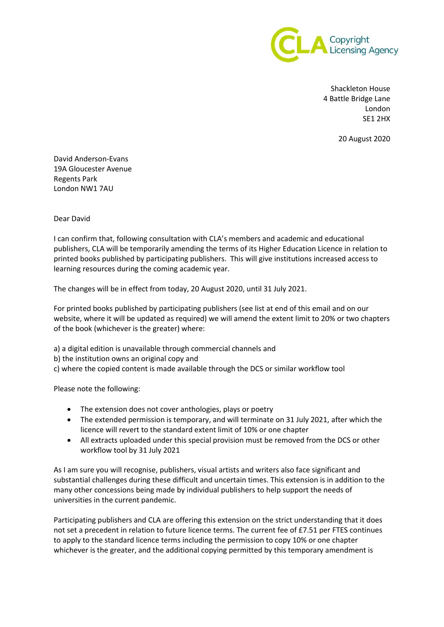

Shackleton House 4 Battle Bridge Lane London SE1 2HX

20 August 2020

David Anderson-Evans 19A Gloucester Avenue Regents Park London NW1 7AU

Dear David

I can confirm that, following consultation with CLA's members and academic and educational publishers, CLA will be temporarily amending the terms of its Higher Education Licence in relation to printed books published by participating publishers. This will give institutions increased access to learning resources during the coming academic year.

The changes will be in effect from today, 20 August 2020, until 31 July 2021.

For printed books published by participating publishers (see list at end of this email and on our website, where it will be updated as required) we will amend the extent limit to 20% or two chapters of the book (whichever is the greater) where:

- a) a digital edition is unavailable through commercial channels and
- b) the institution owns an original copy and
- c) where the copied content is made available through the DCS or similar workflow tool

Please note the following:

- The extension does not cover anthologies, plays or poetry
- The extended permission is temporary, and will terminate on 31 July 2021, after which the licence will revert to the standard extent limit of 10% or one chapter
- All extracts uploaded under this special provision must be removed from the DCS or other workflow tool by 31 July 2021

As I am sure you will recognise, publishers, visual artists and writers also face significant and substantial challenges during these difficult and uncertain times. This extension is in addition to the many other concessions being made by individual publishers to help support the needs of universities in the current pandemic.

Participating publishers and CLA are offering this extension on the strict understanding that it does not set a precedent in relation to future licence terms. The current fee of £7.51 per FTES continues to apply to the standard licence terms including the permission to copy 10% or one chapter whichever is the greater, and the additional copying permitted by this temporary amendment is